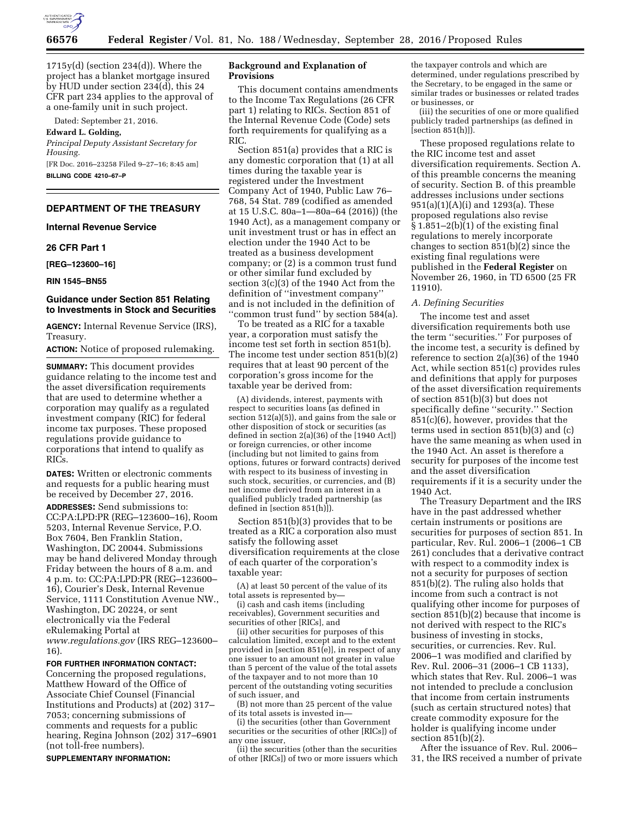

 $1715y(d)$  (section 234(d)). Where the project has a blanket mortgage insured by HUD under section 234(d), this 24 CFR part 234 applies to the approval of a one-family unit in such project.

Dated: September 21, 2016.

**Edward L. Golding,** 

*Principal Deputy Assistant Secretary for Housing.*  [FR Doc. 2016–23258 Filed 9–27–16; 8:45 am]

**BILLING CODE 4210–67–P** 

# **DEPARTMENT OF THE TREASURY**

# **Internal Revenue Service**

## **26 CFR Part 1**

**[REG–123600–16]** 

#### **RIN 1545–BN55**

## **Guidance under Section 851 Relating to Investments in Stock and Securities**

**AGENCY:** Internal Revenue Service (IRS), Treasury.

**ACTION:** Notice of proposed rulemaking.

**SUMMARY:** This document provides guidance relating to the income test and the asset diversification requirements that are used to determine whether a corporation may qualify as a regulated investment company (RIC) for federal income tax purposes. These proposed regulations provide guidance to corporations that intend to qualify as RICs.

**DATES:** Written or electronic comments and requests for a public hearing must be received by December 27, 2016.

**ADDRESSES:** Send submissions to: CC:PA:LPD:PR (REG–123600–16), Room 5203, Internal Revenue Service, P.O. Box 7604, Ben Franklin Station, Washington, DC 20044. Submissions may be hand delivered Monday through Friday between the hours of 8 a.m. and 4 p.m. to: CC:PA:LPD:PR (REG–123600– 16), Courier's Desk, Internal Revenue Service, 1111 Constitution Avenue NW., Washington, DC 20224, or sent electronically via the Federal eRulemaking Portal at *[www.regulations.gov](http://www.regulations.gov)* (IRS REG–123600– 16).

**FOR FURTHER INFORMATION CONTACT:** 

Concerning the proposed regulations, Matthew Howard of the Office of Associate Chief Counsel (Financial Institutions and Products) at (202) 317– 7053; concerning submissions of comments and requests for a public hearing, Regina Johnson (202) 317–6901 (not toll-free numbers).

**SUPPLEMENTARY INFORMATION:** 

### **Background and Explanation of Provisions**

This document contains amendments to the Income Tax Regulations (26 CFR part 1) relating to RICs. Section 851 of the Internal Revenue Code (Code) sets forth requirements for qualifying as a RIC.

Section 851(a) provides that a RIC is any domestic corporation that (1) at all times during the taxable year is registered under the Investment Company Act of 1940, Public Law 76– 768, 54 Stat. 789 (codified as amended at 15 U.S.C. 80a–1—80a–64 (2016)) (the 1940 Act), as a management company or unit investment trust or has in effect an election under the 1940 Act to be treated as a business development company; or (2) is a common trust fund or other similar fund excluded by section 3(c)(3) of the 1940 Act from the definition of ''investment company'' and is not included in the definition of ''common trust fund'' by section 584(a).

To be treated as a RIC for a taxable year, a corporation must satisfy the income test set forth in section 851(b). The income test under section 851(b)(2) requires that at least 90 percent of the corporation's gross income for the taxable year be derived from:

(A) dividends, interest, payments with respect to securities loans (as defined in section 512(a)(5)), and gains from the sale or other disposition of stock or securities (as defined in section  $2(a)(36)$  of the [1940 Act]) or foreign currencies, or other income (including but not limited to gains from options, futures or forward contracts) derived with respect to its business of investing in such stock, securities, or currencies, and (B) net income derived from an interest in a qualified publicly traded partnership (as defined in [section 851(h)]).

Section 851(b)(3) provides that to be treated as a RIC a corporation also must satisfy the following asset diversification requirements at the close of each quarter of the corporation's taxable year:

(A) at least 50 percent of the value of its total assets is represented by—

(i) cash and cash items (including receivables), Government securities and securities of other [RICs], and

(ii) other securities for purposes of this calculation limited, except and to the extent provided in [section 851(e)], in respect of any one issuer to an amount not greater in value than 5 percent of the value of the total assets of the taxpayer and to not more than 10 percent of the outstanding voting securities of such issuer, and

(B) not more than 25 percent of the value of its total assets is invested in—

(i) the securities (other than Government securities or the securities of other [RICs]) of any one issuer,

(ii) the securities (other than the securities of other [RICs]) of two or more issuers which

the taxpayer controls and which are determined, under regulations prescribed by the Secretary, to be engaged in the same or similar trades or businesses or related trades or businesses, or

(iii) the securities of one or more qualified publicly traded partnerships (as defined in [section 851(h)]).

These proposed regulations relate to the RIC income test and asset diversification requirements. Section A. of this preamble concerns the meaning of security. Section B. of this preamble addresses inclusions under sections 951(a)(1)(A)(i) and 1293(a). These proposed regulations also revise  $§ 1.851-2(b)(1)$  of the existing final regulations to merely incorporate changes to section 851(b)(2) since the existing final regulations were published in the **Federal Register** on November 26, 1960, in TD 6500 (25 FR 11910).

#### *A. Defining Securities*

The income test and asset diversification requirements both use the term ''securities.'' For purposes of the income test, a security is defined by reference to section 2(a)(36) of the 1940 Act, while section 851(c) provides rules and definitions that apply for purposes of the asset diversification requirements of section 851(b)(3) but does not specifically define ''security.'' Section 851(c)(6), however, provides that the terms used in section 851(b)(3) and (c) have the same meaning as when used in the 1940 Act. An asset is therefore a security for purposes of the income test and the asset diversification requirements if it is a security under the 1940 Act.

The Treasury Department and the IRS have in the past addressed whether certain instruments or positions are securities for purposes of section 851. In particular, Rev. Rul. 2006–1 (2006–1 CB 261) concludes that a derivative contract with respect to a commodity index is not a security for purposes of section 851(b)(2). The ruling also holds that income from such a contract is not qualifying other income for purposes of section 851(b)(2) because that income is not derived with respect to the RIC's business of investing in stocks, securities, or currencies. Rev. Rul. 2006–1 was modified and clarified by Rev. Rul. 2006–31 (2006–1 CB 1133), which states that Rev. Rul. 2006–1 was not intended to preclude a conclusion that income from certain instruments (such as certain structured notes) that create commodity exposure for the holder is qualifying income under section 851(b)(2).

After the issuance of Rev. Rul. 2006– 31, the IRS received a number of private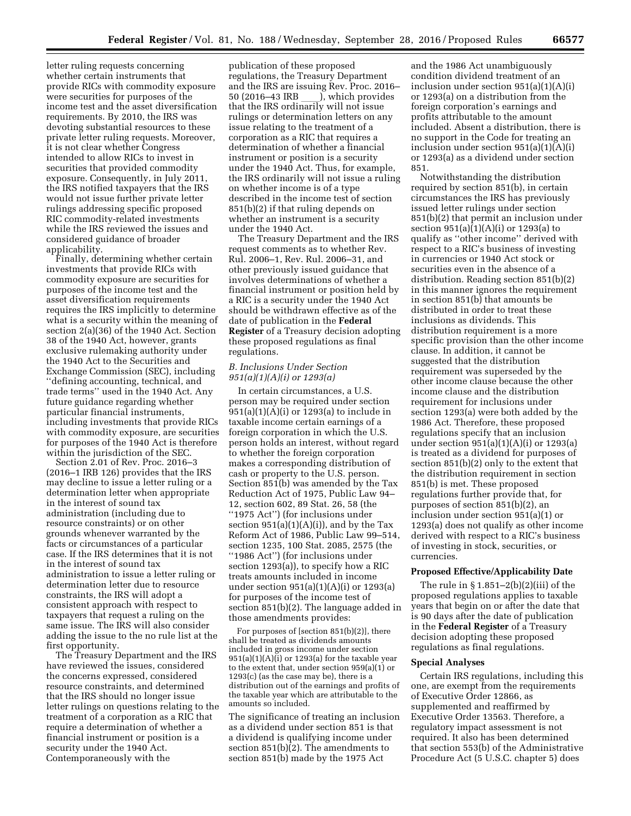letter ruling requests concerning whether certain instruments that provide RICs with commodity exposure were securities for purposes of the income test and the asset diversification requirements. By 2010, the IRS was devoting substantial resources to these private letter ruling requests. Moreover, it is not clear whether Congress intended to allow RICs to invest in securities that provided commodity exposure. Consequently, in July 2011, the IRS notified taxpayers that the IRS would not issue further private letter rulings addressing specific proposed RIC commodity-related investments while the IRS reviewed the issues and considered guidance of broader applicability.

Finally, determining whether certain investments that provide RICs with commodity exposure are securities for purposes of the income test and the asset diversification requirements requires the IRS implicitly to determine what is a security within the meaning of section 2(a)(36) of the 1940 Act. Section 38 of the 1940 Act, however, grants exclusive rulemaking authority under the 1940 Act to the Securities and Exchange Commission (SEC), including ''defining accounting, technical, and trade terms'' used in the 1940 Act. Any future guidance regarding whether particular financial instruments, including investments that provide RICs with commodity exposure, are securities for purposes of the 1940 Act is therefore within the jurisdiction of the SEC.

Section 2.01 of Rev. Proc. 2016–3 (2016–1 IRB 126) provides that the IRS may decline to issue a letter ruling or a determination letter when appropriate in the interest of sound tax administration (including due to resource constraints) or on other grounds whenever warranted by the facts or circumstances of a particular case. If the IRS determines that it is not in the interest of sound tax administration to issue a letter ruling or determination letter due to resource constraints, the IRS will adopt a consistent approach with respect to taxpayers that request a ruling on the same issue. The IRS will also consider adding the issue to the no rule list at the first opportunity.

The Treasury Department and the IRS have reviewed the issues, considered the concerns expressed, considered resource constraints, and determined that the IRS should no longer issue letter rulings on questions relating to the treatment of a corporation as a RIC that require a determination of whether a financial instrument or position is a security under the 1940 Act. Contemporaneously with the

publication of these proposed regulations, the Treasury Department and the IRS are issuing Rev. Proc. 2016– 50 (2016–43 IRB \_\_\_\_), which provides<br>that the IRS ordinarily will not issue rulings or determination letters on any issue relating to the treatment of a corporation as a RIC that requires a determination of whether a financial instrument or position is a security under the 1940 Act. Thus, for example, the IRS ordinarily will not issue a ruling on whether income is of a type described in the income test of section 851(b)(2) if that ruling depends on whether an instrument is a security under the 1940 Act.

The Treasury Department and the IRS request comments as to whether Rev. Rul. 2006–1, Rev. Rul. 2006–31, and other previously issued guidance that involves determinations of whether a financial instrument or position held by a RIC is a security under the 1940 Act should be withdrawn effective as of the date of publication in the **Federal Register** of a Treasury decision adopting these proposed regulations as final regulations.

# *B. Inclusions Under Section 951(a)(1)(A)(i) or 1293(a)*

In certain circumstances, a U.S. person may be required under section 951(a)(1)(A)(i) or 1293(a) to include in taxable income certain earnings of a foreign corporation in which the U.S. person holds an interest, without regard to whether the foreign corporation makes a corresponding distribution of cash or property to the U.S. person. Section 851(b) was amended by the Tax Reduction Act of 1975, Public Law 94– 12, section 602, 89 Stat. 26, 58 (the ''1975 Act'') (for inclusions under section  $951(a)(1)(A)(i)$ , and by the Tax Reform Act of 1986, Public Law 99–514, section 1235, 100 Stat. 2085, 2575 (the ''1986 Act'') (for inclusions under section 1293(a)), to specify how a RIC treats amounts included in income under section 951(a)(1)(A)(i) or 1293(a) for purposes of the income test of section 851(b)(2). The language added in those amendments provides:

For purposes of [section 851(b)(2)], there shall be treated as dividends amounts included in gross income under section  $951(a)(1)(A)(i)$  or  $1293(a)$  for the taxable year to the extent that, under section 959(a)(1) or 1293(c) (as the case may be), there is a distribution out of the earnings and profits of the taxable year which are attributable to the amounts so included.

The significance of treating an inclusion as a dividend under section 851 is that a dividend is qualifying income under section 851(b)(2). The amendments to section 851(b) made by the 1975 Act

and the 1986 Act unambiguously condition dividend treatment of an inclusion under section  $951(a)(1)(A)(i)$ or 1293(a) on a distribution from the foreign corporation's earnings and profits attributable to the amount included. Absent a distribution, there is no support in the Code for treating an inclusion under section 951(a)(1)(A)(i) or 1293(a) as a dividend under section 851.

Notwithstanding the distribution required by section 851(b), in certain circumstances the IRS has previously issued letter rulings under section 851(b)(2) that permit an inclusion under section 951(a)(1)(A)(i) or 1293(a) to qualify as ''other income'' derived with respect to a RIC's business of investing in currencies or 1940 Act stock or securities even in the absence of a distribution. Reading section 851(b)(2) in this manner ignores the requirement in section 851(b) that amounts be distributed in order to treat these inclusions as dividends. This distribution requirement is a more specific provision than the other income clause. In addition, it cannot be suggested that the distribution requirement was superseded by the other income clause because the other income clause and the distribution requirement for inclusions under section 1293(a) were both added by the 1986 Act. Therefore, these proposed regulations specify that an inclusion under section 951(a)(1)(A)(i) or 1293(a) is treated as a dividend for purposes of section 851(b)(2) only to the extent that the distribution requirement in section 851(b) is met. These proposed regulations further provide that, for purposes of section 851(b)(2), an inclusion under section 951(a)(1) or 1293(a) does not qualify as other income derived with respect to a RIC's business of investing in stock, securities, or currencies.

## **Proposed Effective/Applicability Date**

The rule in  $\S 1.851-2(b)(2)(iii)$  of the proposed regulations applies to taxable years that begin on or after the date that is 90 days after the date of publication in the **Federal Register** of a Treasury decision adopting these proposed regulations as final regulations.

#### **Special Analyses**

Certain IRS regulations, including this one, are exempt from the requirements of Executive Order 12866, as supplemented and reaffirmed by Executive Order 13563. Therefore, a regulatory impact assessment is not required. It also has been determined that section 553(b) of the Administrative Procedure Act (5 U.S.C. chapter 5) does